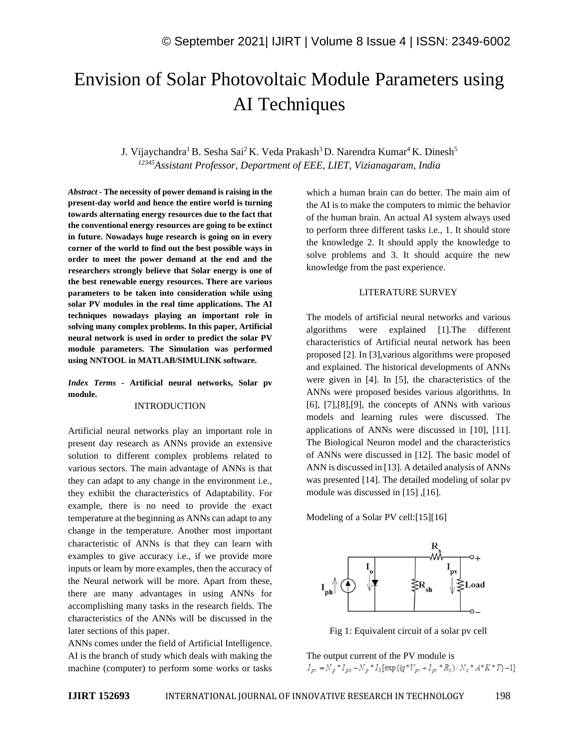# Envision of Solar Photovoltaic Module Parameters using AI Techniques

J. Vijaychandra<sup>1</sup> B. Sesha Sai<sup>2</sup> K. Veda Prakash<sup>3</sup> D. Narendra Kumar<sup>4</sup> K. Dinesh<sup>5</sup> *<sup>12345</sup>Assistant Professor, Department of EEE, LIET, Vizianagaram, India*

*Abstract -* **The necessity of power demand is raising in the present-day world and hence the entire world is turning towards alternating energy resources due to the fact that the conventional energy resources are going to be extinct in future. Nowadays huge research is going on in every corner of the world to find out the best possible ways in order to meet the power demand at the end and the researchers strongly believe that Solar energy is one of the best renewable energy resources. There are various parameters to be taken into consideration while using solar PV modules in the real time applications. The AI techniques nowadays playing an important role in solving many complex problems. In this paper, Artificial neural network is used in order to predict the solar PV module parameters. The Simulation was performed using NNTOOL in MATLAB/SIMULINK software.**

*Index Terms -* **Artificial neural networks, Solar pv module.**

### INTRODUCTION

Artificial neural networks play an important role in present day research as ANNs provide an extensive solution to different complex problems related to various sectors. The main advantage of ANNs is that they can adapt to any change in the environment i.e., they exhibit the characteristics of Adaptability. For example, there is no need to provide the exact temperature at the beginning as ANNs can adapt to any change in the temperature. Another most important characteristic of ANNs is that they can learn with examples to give accuracy i.e., if we provide more inputs or learn by more examples, then the accuracy of the Neural network will be more. Apart from these, there are many advantages in using ANNs for accomplishing many tasks in the research fields. The characteristics of the ANNs will be discussed in the later sections of this paper.

ANNs comes under the field of Artificial Intelligence. AI is the branch of study which deals with making the machine (computer) to perform some works or tasks which a human brain can do better. The main aim of the AI is to make the computers to mimic the behavior of the human brain. An actual AI system always used to perform three different tasks i.e., 1. It should store the knowledge 2. It should apply the knowledge to solve problems and 3. It should acquire the new knowledge from the past experience.

# LITERATURE SURVEY

The models of artificial neural networks and various algorithms were explained [1].The different characteristics of Artificial neural network has been proposed [2]. In [3],various algorithms were proposed and explained. The historical developments of ANNs were given in [4]. In [5], the characteristics of the ANNs were proposed besides various algorithms. In [6], [7],[8],[9], the concepts of ANNs with various models and learning rules were discussed. The applications of ANNs were discussed in [10], [11]. The Biological Neuron model and the characteristics of ANNs were discussed in [12]. The basic model of ANN is discussed in [13]. A detailed analysis of ANNs was presented [14]. The detailed modeling of solar pv module was discussed in [15] ,[16].

Modeling of a Solar PV cell:[15][16]



Fig 1: Equivalent circuit of a solar pv cell

The output current of the PV module is $I_{pv} = N_p * I_{ph} - N_p * I_0 \big[ \exp\left\{ {(q^*V_{pv} + I_{pv} * R_z) / N_s * A^*K^*T} \right\} - 1 \big]$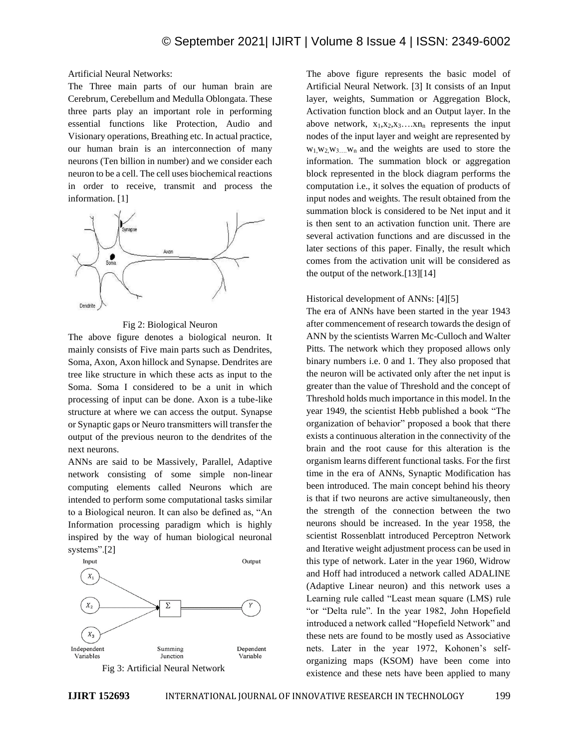Artificial Neural Networks:

The Three main parts of our human brain are Cerebrum, Cerebellum and Medulla Oblongata. These three parts play an important role in performing essential functions like Protection, Audio and Visionary operations, Breathing etc. In actual practice, our human brain is an interconnection of many neurons (Ten billion in number) and we consider each neuron to be a cell. The cell uses biochemical reactions in order to receive, transmit and process the information. [1]



## Fig 2: Biological Neuron

The above figure denotes a biological neuron. It mainly consists of Five main parts such as Dendrites, Soma, Axon, Axon hillock and Synapse. Dendrites are tree like structure in which these acts as input to the Soma. Soma I considered to be a unit in which processing of input can be done. Axon is a tube-like structure at where we can access the output. Synapse or Synaptic gaps or Neuro transmitters will transfer the output of the previous neuron to the dendrites of the next neurons.

ANNs are said to be Massively, Parallel, Adaptive network consisting of some simple non-linear computing elements called Neurons which are intended to perform some computational tasks similar to a Biological neuron. It can also be defined as, "An Information processing paradigm which is highly inspired by the way of human biological neuronal systems".[2]





The above figure represents the basic model of Artificial Neural Network. [3] It consists of an Input layer, weights, Summation or Aggregation Block, Activation function block and an Output layer. In the above network,  $x_1, x_2, x_3, \ldots, x_n$  represents the input nodes of the input layer and weight are represented by  $w_1, w_2, w_3, \ldots, w_n$  and the weights are used to store the information. The summation block or aggregation block represented in the block diagram performs the computation i.e., it solves the equation of products of input nodes and weights. The result obtained from the summation block is considered to be Net input and it is then sent to an activation function unit. There are several activation functions and are discussed in the later sections of this paper. Finally, the result which comes from the activation unit will be considered as the output of the network.[13][14]

#### Historical development of ANNs: [4][5]

The era of ANNs have been started in the year 1943 after commencement of research towards the design of ANN by the scientists Warren Mc-Culloch and Walter Pitts. The network which they proposed allows only binary numbers i.e. 0 and 1. They also proposed that the neuron will be activated only after the net input is greater than the value of Threshold and the concept of Threshold holds much importance in this model. In the year 1949, the scientist Hebb published a book "The organization of behavior" proposed a book that there exists a continuous alteration in the connectivity of the brain and the root cause for this alteration is the organism learns different functional tasks. For the first time in the era of ANNs, Synaptic Modification has been introduced. The main concept behind his theory is that if two neurons are active simultaneously, then the strength of the connection between the two neurons should be increased. In the year 1958, the scientist Rossenblatt introduced Perceptron Network and Iterative weight adjustment process can be used in this type of network. Later in the year 1960, Widrow and Hoff had introduced a network called ADALINE (Adaptive Linear neuron) and this network uses a Learning rule called "Least mean square (LMS) rule "or "Delta rule". In the year 1982, John Hopefield introduced a network called "Hopefield Network" and these nets are found to be mostly used as Associative nets. Later in the year 1972, Kohonen's selforganizing maps (KSOM) have been come into existence and these nets have been applied to many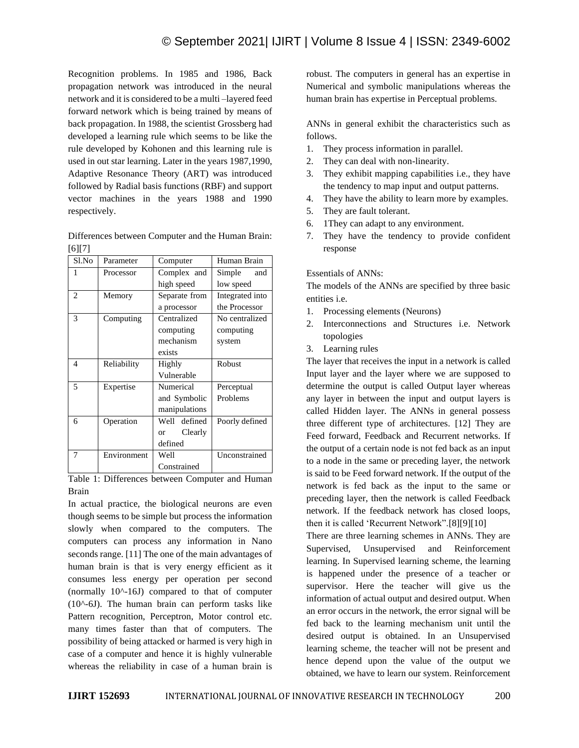Recognition problems. In 1985 and 1986, Back propagation network was introduced in the neural network and it is considered to be a multi –layered feed forward network which is being trained by means of back propagation. In 1988, the scientist Grossberg had developed a learning rule which seems to be like the rule developed by Kohonen and this learning rule is used in out star learning. Later in the years 1987,1990, Adaptive Resonance Theory (ART) was introduced followed by Radial basis functions (RBF) and support vector machines in the years 1988 and 1990 respectively.

Differences between Computer and the Human Brain: [6][7]

| Sl.No          | Parameter   | Computer             | Human Brain     |
|----------------|-------------|----------------------|-----------------|
| 1              | Processor   | Complex and          | Simple and      |
|                |             | high speed           | low speed       |
| $\overline{c}$ | Memory      | Separate from        | Integrated into |
|                |             | a processor          | the Processor   |
| 3              | Computing   | Centralized          | No centralized  |
|                |             | computing            | computing       |
|                |             | mechanism            | system          |
|                |             | exists               |                 |
| 4              | Reliability | Highly               | Robust          |
|                |             | Vulnerable           |                 |
| 5              | Expertise   | Numerical            | Perceptual      |
|                |             | and Symbolic         | Problems        |
|                |             | manipulations        |                 |
| 6              | Operation   | Well defined         | Poorly defined  |
|                |             | Clearly<br><b>or</b> |                 |
|                |             | defined              |                 |
| 7              | Environment | Well                 | Unconstrained   |
|                |             | Constrained          |                 |

Table 1: Differences between Computer and Human Brain

In actual practice, the biological neurons are even though seems to be simple but process the information slowly when compared to the computers. The computers can process any information in Nano seconds range. [11] The one of the main advantages of human brain is that is very energy efficient as it consumes less energy per operation per second (normally 10^-16J) compared to that of computer  $(10^{\circ} - 6J)$ . The human brain can perform tasks like Pattern recognition, Perceptron, Motor control etc. many times faster than that of computers. The possibility of being attacked or harmed is very high in case of a computer and hence it is highly vulnerable whereas the reliability in case of a human brain is

robust. The computers in general has an expertise in Numerical and symbolic manipulations whereas the human brain has expertise in Perceptual problems.

ANNs in general exhibit the characteristics such as follows.

- 1. They process information in parallel.
- 2. They can deal with non-linearity.
- 3. They exhibit mapping capabilities i.e., they have the tendency to map input and output patterns.
- 4. They have the ability to learn more by examples.
- 5. They are fault tolerant.
- 6. 1They can adapt to any environment.
- 7. They have the tendency to provide confident response

# Essentials of ANNs:

The models of the ANNs are specified by three basic entities i.e.

- 1. Processing elements (Neurons)
- 2. Interconnections and Structures i.e. Network topologies
- 3. Learning rules

The layer that receives the input in a network is called Input layer and the layer where we are supposed to determine the output is called Output layer whereas any layer in between the input and output layers is called Hidden layer. The ANNs in general possess three different type of architectures. [12] They are Feed forward, Feedback and Recurrent networks. If the output of a certain node is not fed back as an input to a node in the same or preceding layer, the network is said to be Feed forward network. If the output of the network is fed back as the input to the same or preceding layer, then the network is called Feedback network. If the feedback network has closed loops, then it is called 'Recurrent Network".[8][9][10]

There are three learning schemes in ANNs. They are Supervised, Unsupervised and Reinforcement learning. In Supervised learning scheme, the learning is happened under the presence of a teacher or supervisor. Here the teacher will give us the information of actual output and desired output. When an error occurs in the network, the error signal will be fed back to the learning mechanism unit until the desired output is obtained. In an Unsupervised learning scheme, the teacher will not be present and hence depend upon the value of the output we obtained, we have to learn our system. Reinforcement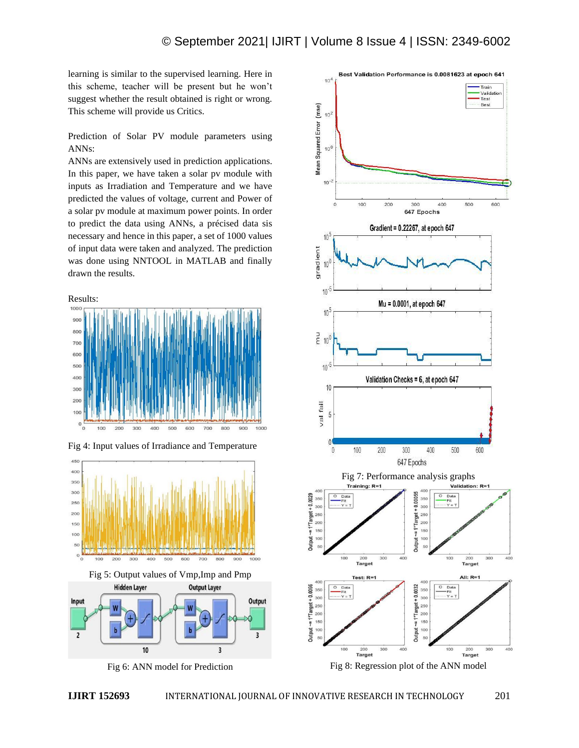learning is similar to the supervised learning. Here in this scheme, teacher will be present but he won't suggest whether the result obtained is right or wrong. This scheme will provide us Critics.

Prediction of Solar PV module parameters using ANNs:

ANNs are extensively used in prediction applications. In this paper, we have taken a solar pv module with inputs as Irradiation and Temperature and we have predicted the values of voltage, current and Power of a solar pv module at maximum power points. In order to predict the data using ANNs, a précised data sis necessary and hence in this paper, a set of 1000 values of input data were taken and analyzed. The prediction was done using NNTOOL in MATLAB and finally drawn the results.





Fig 4: Input values of Irradiance and Temperature



Fig 5: Output values of Vmp,Imp and Pmp **Hidden Layer Output Layer** 



Fig 6: ANN model for Prediction